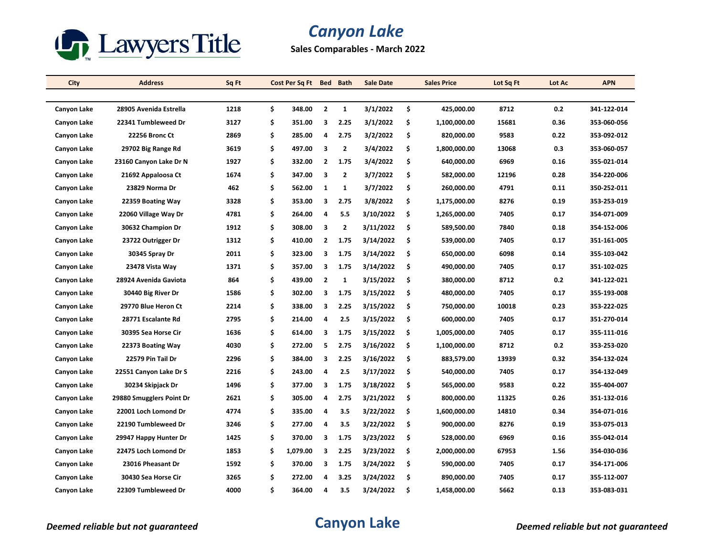

## *Canyon Lake*

**Sales Comparables - March 2022**

| City        | <b>Address</b>           | Sq Ft | Cost Per Sq Ft |                         | Bed Bath       | <b>Sale Date</b> |     | <b>Sales Price</b> | Lot Sq Ft | Lot Ac | <b>APN</b>  |
|-------------|--------------------------|-------|----------------|-------------------------|----------------|------------------|-----|--------------------|-----------|--------|-------------|
|             |                          |       |                |                         |                |                  |     |                    |           |        |             |
| Canyon Lake | 28905 Avenida Estrella   | 1218  | \$<br>348.00   | $\overline{2}$          | $\mathbf{1}$   | 3/1/2022         | \$  | 425,000.00         | 8712      | 0.2    | 341-122-014 |
| Canyon Lake | 22341 Tumbleweed Dr      | 3127  | \$<br>351.00   | 3                       | 2.25           | 3/1/2022         | \$  | 1,100,000.00       | 15681     | 0.36   | 353-060-056 |
| Canyon Lake | <b>22256 Bronc Ct</b>    | 2869  | \$<br>285.00   | 4                       | 2.75           | 3/2/2022         | \$  | 820,000.00         | 9583      | 0.22   | 353-092-012 |
| Canyon Lake | 29702 Big Range Rd       | 3619  | \$<br>497.00   | 3                       | $\overline{2}$ | 3/4/2022         | \$  | 1,800,000.00       | 13068     | 0.3    | 353-060-057 |
| Canyon Lake | 23160 Canyon Lake Dr N   | 1927  | \$<br>332.00   | 2                       | 1.75           | 3/4/2022         | \$  | 640,000.00         | 6969      | 0.16   | 355-021-014 |
| Canyon Lake | 21692 Appaloosa Ct       | 1674  | \$<br>347.00   | 3                       | $\overline{2}$ | 3/7/2022         | \$  | 582,000.00         | 12196     | 0.28   | 354-220-006 |
| Canyon Lake | 23829 Norma Dr           | 462   | \$<br>562.00   | $\mathbf{1}$            | 1              | 3/7/2022         | \$  | 260,000.00         | 4791      | 0.11   | 350-252-011 |
| Canyon Lake | 22359 Boating Way        | 3328  | \$<br>353.00   | 3                       | 2.75           | 3/8/2022         | \$  | 1,175,000.00       | 8276      | 0.19   | 353-253-019 |
| Canyon Lake | 22060 Village Way Dr     | 4781  | \$<br>264.00   | 4                       | 5.5            | 3/10/2022        | \$  | 1,265,000.00       | 7405      | 0.17   | 354-071-009 |
| Canyon Lake | 30632 Champion Dr        | 1912  | \$<br>308.00   | 3                       | $\overline{2}$ | 3/11/2022        | \$  | 589,500.00         | 7840      | 0.18   | 354-152-006 |
| Canyon Lake | 23722 Outrigger Dr       | 1312  | \$<br>410.00   | 2                       | 1.75           | 3/14/2022        | \$  | 539,000.00         | 7405      | 0.17   | 351 161 005 |
| Canyon Lake | 30345 Spray Dr           | 2011  | \$<br>323.00   | 3                       | 1.75           | 3/14/2022        | \$  | 650,000.00         | 6098      | 0.14   | 355-103-042 |
| Canyon Lake | 23478 Vista Way          | 1371  | \$<br>357.00   | 3                       | 1.75           | 3/14/2022        | \$  | 490,000.00         | 7405      | 0.17   | 351-102-025 |
| Canyon Lake | 28924 Avenida Gaviota    | 864   | \$<br>439.00   | $\overline{\mathbf{2}}$ | 1              | 3/15/2022        | \$. | 380,000.00         | 8712      | 0.2    | 341-122-021 |
| Canyon Lake | 30440 Big River Dr       | 1586  | \$<br>302.00   | 3                       | 1.75           | 3/15/2022        | \$  | 480,000.00         | 7405      | 0.17   | 355-193-008 |
| Canyon Lake | 29770 Blue Heron Ct      | 2214  | \$<br>338.00   | 3                       | 2.25           | 3/15/2022        | \$  | 750,000.00         | 10018     | 0.23   | 353-222-025 |
| Canyon Lake | 28771 Escalante Rd       | 2795  | \$<br>214.00   | 4                       | 2.5            | 3/15/2022        | \$  | 600,000.00         | 7405      | 0.17   | 351-270-014 |
| Canyon Lake | 30395 Sea Horse Cir      | 1636  | \$<br>614.00   | 3                       | 1.75           | 3/15/2022        | \$  | 1,005,000.00       | 7405      | 0.17   | 355-111-016 |
| Canyon Lake | 22373 Boating Way        | 4030  | \$<br>272.00   | 5                       | 2.75           | 3/16/2022        | \$  | 1,100,000.00       | 8712      | 0.2    | 353-253-020 |
| Canyon Lake | 22579 Pin Tail Dr        | 2296  | \$<br>384.00   | 3                       | 2.25           | 3/16/2022        | \$. | 883,579.00         | 13939     | 0.32   | 354-132-024 |
| Canyon Lake | 22551 Canyon Lake Dr S   | 2216  | \$<br>243.00   | 4                       | 2.5            | 3/17/2022        | \$  | 540,000.00         | 7405      | 0.17   | 354-132-049 |
| Canyon Lake | 30234 Skipjack Dr        | 1496  | \$<br>377.00   | 3                       | 1.75           | 3/18/2022        | \$  | 565,000.00         | 9583      | 0.22   | 355-404-007 |
| Canyon Lake | 29880 Smugglers Point Dr | 2621  | \$<br>305.00   | 4                       | 2.75           | 3/21/2022        | \$  | 800,000.00         | 11325     | 0.26   | 351-132-016 |
| Canyon Lake | 22001 Loch Lomond Dr     | 4774  | \$<br>335.00   | 4                       | 3.5            | 3/22/2022        | \$  | 1,600,000.00       | 14810     | 0.34   | 354-071-016 |
| Canyon Lake | 22190 Tumbleweed Dr      | 3246  | \$<br>277.00   | 4                       | 3.5            | 3/22/2022        | \$  | 900,000.00         | 8276      | 0.19   | 353-075-013 |
| Canyon Lake | 29947 Happy Hunter Dr    | 1425  | \$<br>370.00   | 3                       | 1.75           | 3/23/2022        | \$  | 528,000.00         | 6969      | 0.16   | 355-042-014 |
| Canyon Lake | 22475 Loch Lomond Dr     | 1853  | \$<br>1,079.00 | 3                       | 2.25           | 3/23/2022        | \$  | 2,000,000.00       | 67953     | 1.56   | 354-030-036 |
| Canyon Lake | 23016 Pheasant Dr        | 1592  | \$<br>370.00   | 3                       | 1.75           | 3/24/2022        | \$  | 590,000.00         | 7405      | 0.17   | 354-171-006 |
| Canyon Lake | 30430 Sea Horse Cir      | 3265  | \$<br>272.00   | 4                       | 3.25           | 3/24/2022        | \$  | 890,000.00         | 7405      | 0.17   | 355-112-007 |
| Canyon Lake | 22309 Tumbleweed Dr      | 4000  | \$<br>364.00   | 4                       | 3.5            | 3/24/2022        | \$  | 1,458,000.00       | 5662      | 0.13   | 353-083-031 |